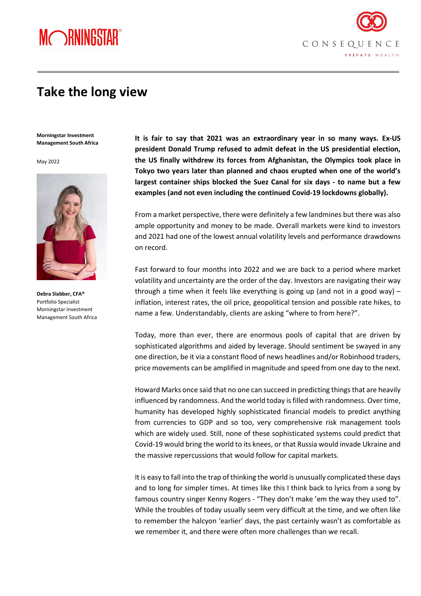



# **Take the long view**

**Morningstar Investment Management South Africa**

May 2022



**Debra Slabber, CFA®** Portfolio Specialist Morningstar Investment Management South Africa

**It is fair to say that 2021 was an extraordinary year in so many ways. Ex-US president Donald Trump refused to admit defeat in the US presidential election, the US finally withdrew its forces from Afghanistan, the Olympics took place in Tokyo two years later than planned and chaos erupted when one of the world's largest container ships blocked the Suez Canal for six days - to name but a few examples (and not even including the continued Covid-19 lockdowns globally).**

From a market perspective, there were definitely a few landmines but there was also ample opportunity and money to be made. Overall markets were kind to investors and 2021 had one of the lowest annual volatility levels and performance drawdowns on record.

Fast forward to four months into 2022 and we are back to a period where market volatility and uncertainty are the order of the day. Investors are navigating their way through a time when it feels like everything is going up (and not in a good way) – inflation, interest rates, the oil price, geopolitical tension and possible rate hikes, to name a few. Understandably, clients are asking "where to from here?".

Today, more than ever, there are enormous pools of capital that are driven by sophisticated algorithms and aided by leverage. Should sentiment be swayed in any one direction, be it via a constant flood of news headlines and/or Robinhood traders, price movements can be amplified in magnitude and speed from one day to the next.

Howard Marks once said that no one can succeed in predicting things that are heavily influenced by randomness. And the world today is filled with randomness. Over time, humanity has developed highly sophisticated financial models to predict anything from currencies to GDP and so too, very comprehensive risk management tools which are widely used. Still, none of these sophisticated systems could predict that Covid-19 would bring the world to its knees, or that Russia would invade Ukraine and the massive repercussions that would follow for capital markets.

It is easy to fall into the trap of thinking the world is unusually complicated these days and to long for simpler times. At times like this I think back to lyrics from a song by famous country singer Kenny Rogers - "They don't make 'em the way they used to". While the troubles of today usually seem very difficult at the time, and we often like to remember the halcyon 'earlier' days, the past certainly wasn't as comfortable as we remember it, and there were often more challenges than we recall.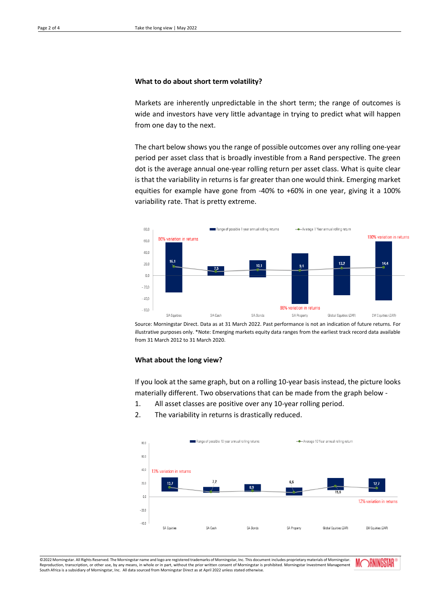#### **What to do about short term volatility?**

Markets are inherently unpredictable in the short term; the range of outcomes is wide and investors have very little advantage in trying to predict what will happen from one day to the next.

The chart below shows you the range of possible outcomes over any rolling one-year period per asset class that is broadly investible from a Rand perspective. The green dot is the average annual one-year rolling return per asset class. What is quite clear is that the variability in returns is far greater than one would think. Emerging market equities for example have gone from -40% to +60% in one year, giving it a 100% variability rate. That is pretty extreme.



Source: Morningstar Direct. Data as at 31 March 2022. Past performance is not an indication of future returns. For illustrative purposes only. \*Note: Emerging markets equity data ranges from the earliest track record data available from 31 March 2012 to 31 March 2020.

## **What about the long view?**

If you look at the same graph, but on a rolling 10-year basis instead, the picture looks materially different. Two observations that can be made from the graph below -

- 1. All asset classes are positive over any 10-year rolling period.
- 2. The variability in returns is drastically reduced.



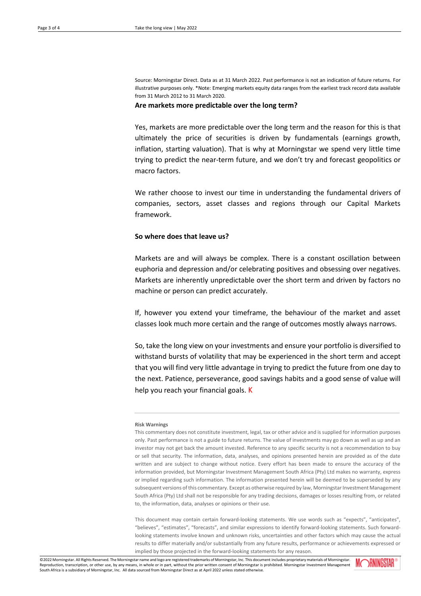Source: Morningstar Direct. Data as at 31 March 2022. Past performance is not an indication of future returns. For illustrative purposes only. \*Note: Emerging markets equity data ranges from the earliest track record data available from 31 March 2012 to 31 March 2020.

### **Are markets more predictable over the long term?**

Yes, markets are more predictable over the long term and the reason for this is that ultimately the price of securities is driven by fundamentals (earnings growth, inflation, starting valuation). That is why at Morningstar we spend very little time trying to predict the near-term future, and we don't try and forecast geopolitics or macro factors.

We rather choose to invest our time in understanding the fundamental drivers of companies, sectors, asset classes and regions through our Capital Markets framework.

### **So where does that leave us?**

Markets are and will always be complex. There is a constant oscillation between euphoria and depression and/or celebrating positives and obsessing over negatives. Markets are inherently unpredictable over the short term and driven by factors no machine or person can predict accurately.

If, however you extend your timeframe, the behaviour of the market and asset classes look much more certain and the range of outcomes mostly always narrows.

So, take the long view on your investments and ensure your portfolio is diversified to withstand bursts of volatility that may be experienced in the short term and accept that you will find very little advantage in trying to predict the future from one day to the next. Patience, perseverance, good savings habits and a good sense of value will help you reach your financial goals. K

#### **Risk Warnings**

This commentary does not constitute investment, legal, tax or other advice and is supplied for information purposes only. Past performance is not a guide to future returns. The value of investments may go down as well as up and an investor may not get back the amount invested. Reference to any specific security is not a recommendation to buy or sell that security. The information, data, analyses, and opinions presented herein are provided as of the date written and are subject to change without notice. Every effort has been made to ensure the accuracy of the information provided, but Morningstar Investment Management South Africa (Pty) Ltd makes no warranty, express or implied regarding such information. The information presented herein will be deemed to be superseded by any subsequent versions of this commentary. Except as otherwise required by law, Morningstar Investment Management South Africa (Pty) Ltd shall not be responsible for any trading decisions, damages or losses resulting from, or related to, the information, data, analyses or opinions or their use.

This document may contain certain forward-looking statements. We use words such as "expects", "anticipates", "believes", "estimates", "forecasts", and similar expressions to identify forward-looking statements. Such forwardlooking statements involve known and unknown risks, uncertainties and other factors which may cause the actual results to differ materially and/or substantially from any future results, performance or achievements expressed or implied by those projected in the forward-looking statements for any reason.